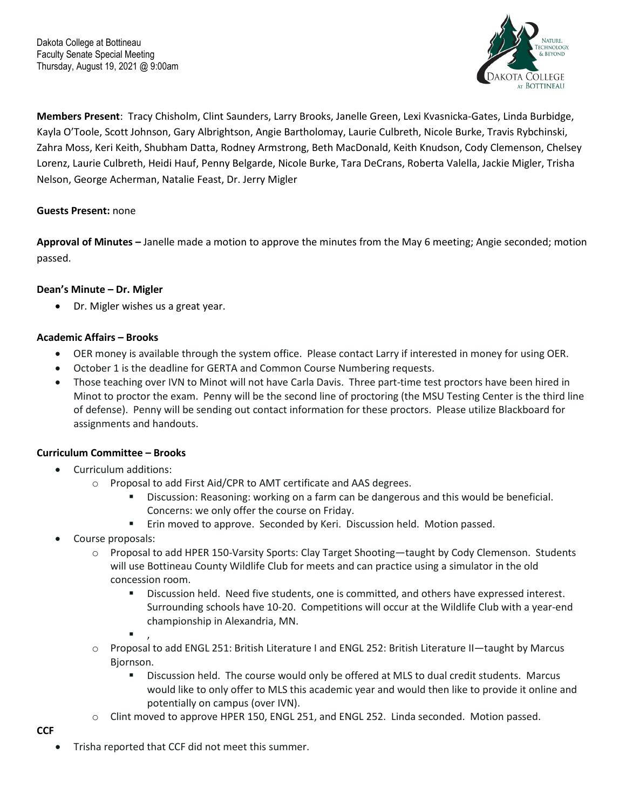

**Members Present**: Tracy Chisholm, Clint Saunders, Larry Brooks, Janelle Green, Lexi Kvasnicka-Gates, Linda Burbidge, Kayla O'Toole, Scott Johnson, Gary Albrightson, Angie Bartholomay, Laurie Culbreth, Nicole Burke, Travis Rybchinski, Zahra Moss, Keri Keith, Shubham Datta, Rodney Armstrong, Beth MacDonald, Keith Knudson, Cody Clemenson, Chelsey Lorenz, Laurie Culbreth, Heidi Hauf, Penny Belgarde, Nicole Burke, Tara DeCrans, Roberta Valella, Jackie Migler, Trisha Nelson, George Acherman, Natalie Feast, Dr. Jerry Migler

# **Guests Present:** none

**Approval of Minutes –** Janelle made a motion to approve the minutes from the May 6 meeting; Angie seconded; motion passed.

# **Dean's Minute – Dr. Migler**

Dr. Migler wishes us a great year.

# **Academic Affairs – Brooks**

- OER money is available through the system office. Please contact Larry if interested in money for using OER.
- October 1 is the deadline for GERTA and Common Course Numbering requests.
- Those teaching over IVN to Minot will not have Carla Davis. Three part-time test proctors have been hired in Minot to proctor the exam. Penny will be the second line of proctoring (the MSU Testing Center is the third line of defense). Penny will be sending out contact information for these proctors. Please utilize Blackboard for assignments and handouts.

# **Curriculum Committee – Brooks**

- Curriculum additions:
	- o Proposal to add First Aid/CPR to AMT certificate and AAS degrees.
		- Discussion: Reasoning: working on a farm can be dangerous and this would be beneficial. Concerns: we only offer the course on Friday.
		- **Erin moved to approve. Seconded by Keri. Discussion held. Motion passed.**
- Course proposals:
	- $\circ$  Proposal to add HPER 150-Varsity Sports: Clay Target Shooting—taught by Cody Clemenson. Students will use Bottineau County Wildlife Club for meets and can practice using a simulator in the old concession room.
		- Discussion held. Need five students, one is committed, and others have expressed interest. Surrounding schools have 10-20. Competitions will occur at the Wildlife Club with a year-end championship in Alexandria, MN.
		- $\blacksquare$ ,
	- o Proposal to add ENGL 251: British Literature I and ENGL 252: British Literature II—taught by Marcus Bjornson.
		- Discussion held. The course would only be offered at MLS to dual credit students. Marcus would like to only offer to MLS this academic year and would then like to provide it online and potentially on campus (over IVN).
	- o Clint moved to approve HPER 150, ENGL 251, and ENGL 252. Linda seconded. Motion passed.

**CCF**

Trisha reported that CCF did not meet this summer.